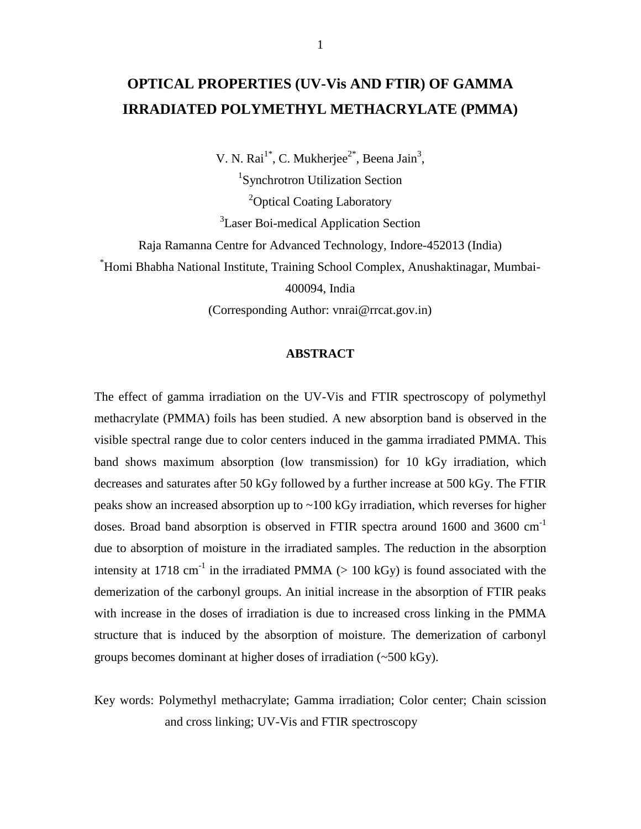# **OPTICAL PROPERTIES (UV-Vis AND FTIR) OF GAMMA IRRADIATED POLYMETHYL METHACRYLATE (PMMA)**

V. N. Rai<sup>1\*</sup>, C. Mukherjee<sup>2\*</sup>, Beena Jain<sup>3</sup>,

1 Synchrotron Utilization Section <sup>2</sup>Optical Coating Laboratory

<sup>3</sup> Laser Boi-medical Application Section

Raja Ramanna Centre for Advanced Technology, Indore-452013 (India)

\*Homi Bhabha National Institute, Training School Complex, Anushaktinagar, Mumbai-

400094, India

(Corresponding Author: vnrai@rrcat.gov.in)

### **ABSTRACT**

The effect of gamma irradiation on the UV-Vis and FTIR spectroscopy of polymethyl methacrylate (PMMA) foils has been studied. A new absorption band is observed in the visible spectral range due to color centers induced in the gamma irradiated PMMA. This band shows maximum absorption (low transmission) for 10 kGy irradiation, which decreases and saturates after 50 kGy followed by a further increase at 500 kGy. The FTIR peaks show an increased absorption up to ~100 kGy irradiation, which reverses for higher doses. Broad band absorption is observed in FTIR spectra around  $1600$  and  $3600 \text{ cm}^{-1}$ due to absorption of moisture in the irradiated samples. The reduction in the absorption intensity at 1718 cm<sup>-1</sup> in the irradiated PMMA  $(> 100 \text{ kGy})$  is found associated with the demerization of the carbonyl groups. An initial increase in the absorption of FTIR peaks with increase in the doses of irradiation is due to increased cross linking in the PMMA structure that is induced by the absorption of moisture. The demerization of carbonyl groups becomes dominant at higher doses of irradiation (~500 kGy).

Key words: Polymethyl methacrylate; Gamma irradiation; Color center; Chain scission and cross linking; UV-Vis and FTIR spectroscopy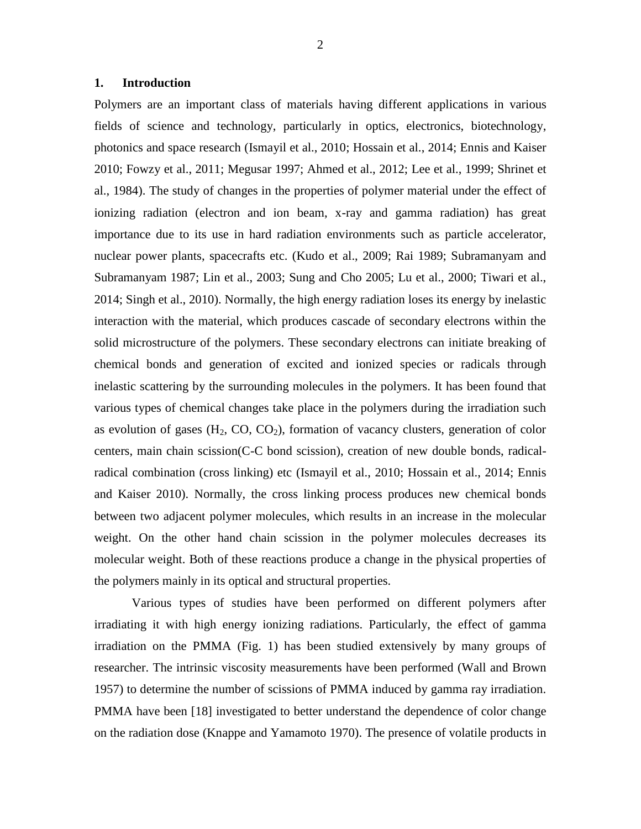### **1. Introduction**

Polymers are an important class of materials having different applications in various fields of science and technology, particularly in optics, electronics, biotechnology, photonics and space research (Ismayil et al., 2010; Hossain et al., 2014; Ennis and Kaiser 2010; Fowzy et al., 2011; Megusar 1997; Ahmed et al., 2012; Lee et al., 1999; Shrinet et al., 1984). The study of changes in the properties of polymer material under the effect of ionizing radiation (electron and ion beam, x-ray and gamma radiation) has great importance due to its use in hard radiation environments such as particle accelerator, nuclear power plants, spacecrafts etc. (Kudo et al., 2009; Rai 1989; Subramanyam and Subramanyam 1987; Lin et al., 2003; Sung and Cho 2005; Lu et al., 2000; Tiwari et al., 2014; Singh et al., 2010). Normally, the high energy radiation loses its energy by inelastic interaction with the material, which produces cascade of secondary electrons within the solid microstructure of the polymers. These secondary electrons can initiate breaking of chemical bonds and generation of excited and ionized species or radicals through inelastic scattering by the surrounding molecules in the polymers. It has been found that various types of chemical changes take place in the polymers during the irradiation such as evolution of gases  $(H_2, CO, CO_2)$ , formation of vacancy clusters, generation of color centers, main chain scission(C-C bond scission), creation of new double bonds, radicalradical combination (cross linking) etc (Ismayil et al., 2010; Hossain et al., 2014; Ennis and Kaiser 2010). Normally, the cross linking process produces new chemical bonds between two adjacent polymer molecules, which results in an increase in the molecular weight. On the other hand chain scission in the polymer molecules decreases its molecular weight. Both of these reactions produce a change in the physical properties of the polymers mainly in its optical and structural properties.

Various types of studies have been performed on different polymers after irradiating it with high energy ionizing radiations. Particularly, the effect of gamma irradiation on the PMMA (Fig. 1) has been studied extensively by many groups of researcher. The intrinsic viscosity measurements have been performed (Wall and Brown 1957) to determine the number of scissions of PMMA induced by gamma ray irradiation. PMMA have been [18] investigated to better understand the dependence of color change on the radiation dose (Knappe and Yamamoto 1970). The presence of volatile products in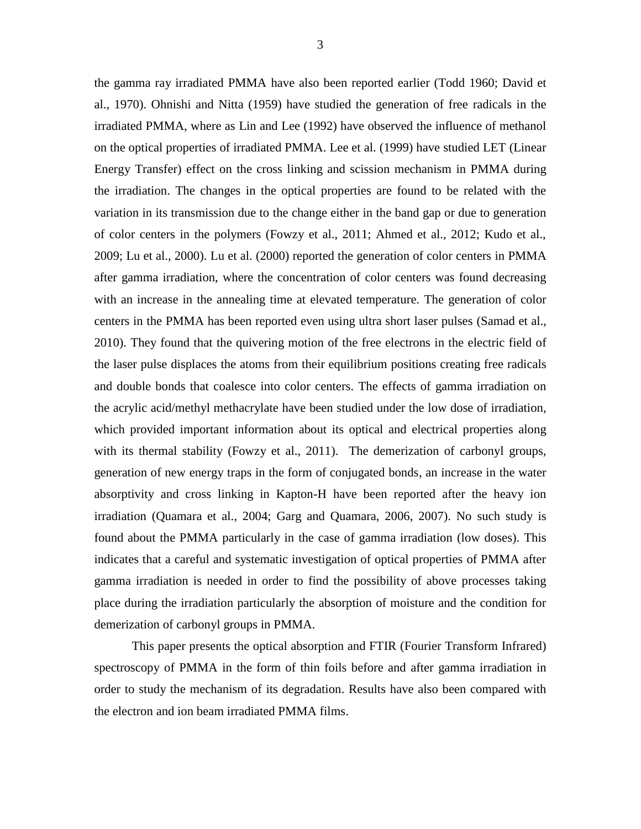the gamma ray irradiated PMMA have also been reported earlier (Todd 1960; David et al., 1970). Ohnishi and Nitta (1959) have studied the generation of free radicals in the irradiated PMMA, where as Lin and Lee (1992) have observed the influence of methanol on the optical properties of irradiated PMMA. Lee et al. (1999) have studied LET (Linear Energy Transfer) effect on the cross linking and scission mechanism in PMMA during the irradiation. The changes in the optical properties are found to be related with the variation in its transmission due to the change either in the band gap or due to generation of color centers in the polymers (Fowzy et al., 2011; Ahmed et al., 2012; Kudo et al., 2009; Lu et al., 2000). Lu et al. (2000) reported the generation of color centers in PMMA after gamma irradiation, where the concentration of color centers was found decreasing with an increase in the annealing time at elevated temperature. The generation of color centers in the PMMA has been reported even using ultra short laser pulses (Samad et al., 2010). They found that the quivering motion of the free electrons in the electric field of the laser pulse displaces the atoms from their equilibrium positions creating free radicals and double bonds that coalesce into color centers. The effects of gamma irradiation on the acrylic acid/methyl methacrylate have been studied under the low dose of irradiation, which provided important information about its optical and electrical properties along with its thermal stability (Fowzy et al., 2011). The demerization of carbonyl groups, generation of new energy traps in the form of conjugated bonds, an increase in the water absorptivity and cross linking in Kapton-H have been reported after the heavy ion irradiation (Quamara et al., 2004; Garg and Quamara, 2006, 2007). No such study is found about the PMMA particularly in the case of gamma irradiation (low doses). This indicates that a careful and systematic investigation of optical properties of PMMA after gamma irradiation is needed in order to find the possibility of above processes taking place during the irradiation particularly the absorption of moisture and the condition for demerization of carbonyl groups in PMMA.

This paper presents the optical absorption and FTIR (Fourier Transform Infrared) spectroscopy of PMMA in the form of thin foils before and after gamma irradiation in order to study the mechanism of its degradation. Results have also been compared with the electron and ion beam irradiated PMMA films.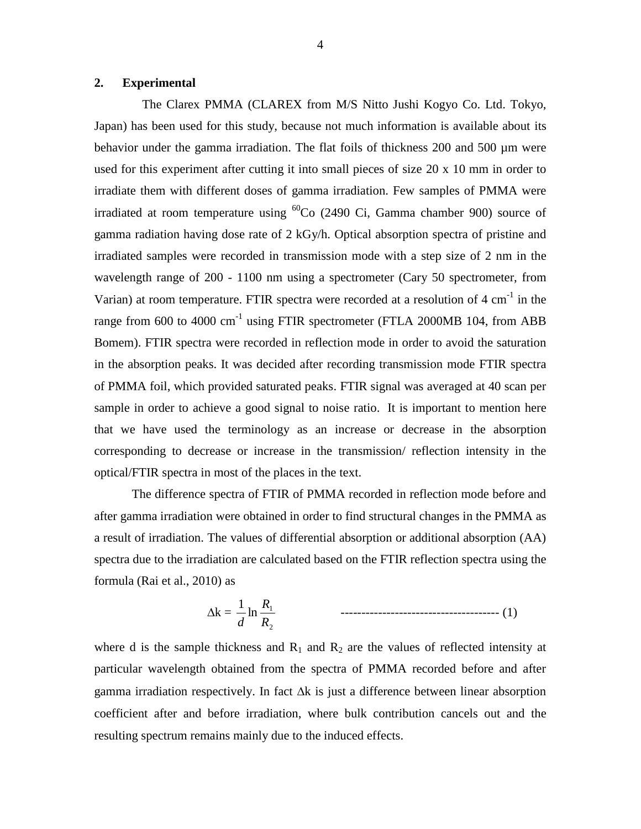# **2. Experimental**

The Clarex PMMA (CLAREX from M/S Nitto Jushi Kogyo Co. Ltd. Tokyo, Japan) has been used for this study, because not much information is available about its behavior under the gamma irradiation. The flat foils of thickness 200 and 500  $\mu$ m were used for this experiment after cutting it into small pieces of size 20 x 10 mm in order to irradiate them with different doses of gamma irradiation. Few samples of PMMA were irradiated at room temperature using  ${}^{60}Co$  (2490 Ci, Gamma chamber 900) source of gamma radiation having dose rate of 2 kGy/h. Optical absorption spectra of pristine and irradiated samples were recorded in transmission mode with a step size of 2 nm in the wavelength range of 200 - 1100 nm using a spectrometer (Cary 50 spectrometer, from Varian) at room temperature. FTIR spectra were recorded at a resolution of  $4 \text{ cm}^{-1}$  in the range from 600 to 4000  $cm^{-1}$  using FTIR spectrometer (FTLA 2000MB 104, from ABB Bomem). FTIR spectra were recorded in reflection mode in order to avoid the saturation in the absorption peaks. It was decided after recording transmission mode FTIR spectra of PMMA foil, which provided saturated peaks. FTIR signal was averaged at 40 scan per sample in order to achieve a good signal to noise ratio. It is important to mention here that we have used the terminology as an increase or decrease in the absorption corresponding to decrease or increase in the transmission/ reflection intensity in the optical/FTIR spectra in most of the places in the text.

The difference spectra of FTIR of PMMA recorded in reflection mode before and after gamma irradiation were obtained in order to find structural changes in the PMMA as a result of irradiation. The values of differential absorption or additional absorption (AA) spectra due to the irradiation are calculated based on the FTIR reflection spectra using the formula (Rai et al., 2010) as

k = 2 1 ln 1 *R R d* -------------------------------------- (1)

where d is the sample thickness and  $R_1$  and  $R_2$  are the values of reflected intensity at particular wavelength obtained from the spectra of PMMA recorded before and after gamma irradiation respectively. In fact  $\Delta k$  is just a difference between linear absorption coefficient after and before irradiation, where bulk contribution cancels out and the resulting spectrum remains mainly due to the induced effects.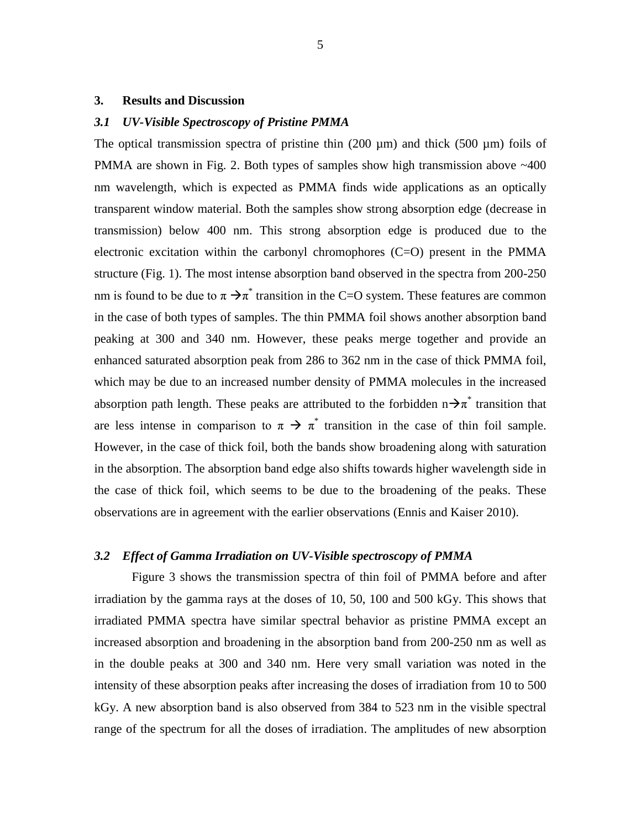#### **3. Results and Discussion**

#### *3.1 UV-Visible Spectroscopy of Pristine PMMA*

The optical transmission spectra of pristine thin  $(200 \mu m)$  and thick (500  $\mu m$ ) foils of PMMA are shown in Fig. 2. Both types of samples show high transmission above ~400 nm wavelength, which is expected as PMMA finds wide applications as an optically transparent window material. Both the samples show strong absorption edge (decrease in transmission) below 400 nm. This strong absorption edge is produced due to the electronic excitation within the carbonyl chromophores  $(C=O)$  present in the PMMA structure (Fig. 1). The most intense absorption band observed in the spectra from 200-250 nm is found to be due to  $\pi \rightarrow \pi^*$  transition in the C=O system. These features are common in the case of both types of samples. The thin PMMA foil shows another absorption band peaking at 300 and 340 nm. However, these peaks merge together and provide an enhanced saturated absorption peak from 286 to 362 nm in the case of thick PMMA foil, which may be due to an increased number density of PMMA molecules in the increased absorption path length. These peaks are attributed to the forbidden  $n \rightarrow \pi^*$  transition that are less intense in comparison to  $\pi \to \pi^*$  transition in the case of thin foil sample. However, in the case of thick foil, both the bands show broadening along with saturation in the absorption. The absorption band edge also shifts towards higher wavelength side in the case of thick foil, which seems to be due to the broadening of the peaks. These observations are in agreement with the earlier observations (Ennis and Kaiser 2010).

#### *3.2 Effect of Gamma Irradiation on UV-Visible spectroscopy of PMMA*

Figure 3 shows the transmission spectra of thin foil of PMMA before and after irradiation by the gamma rays at the doses of 10, 50, 100 and 500 kGy. This shows that irradiated PMMA spectra have similar spectral behavior as pristine PMMA except an increased absorption and broadening in the absorption band from 200-250 nm as well as in the double peaks at 300 and 340 nm. Here very small variation was noted in the intensity of these absorption peaks after increasing the doses of irradiation from 10 to 500 kGy. A new absorption band is also observed from 384 to 523 nm in the visible spectral range of the spectrum for all the doses of irradiation. The amplitudes of new absorption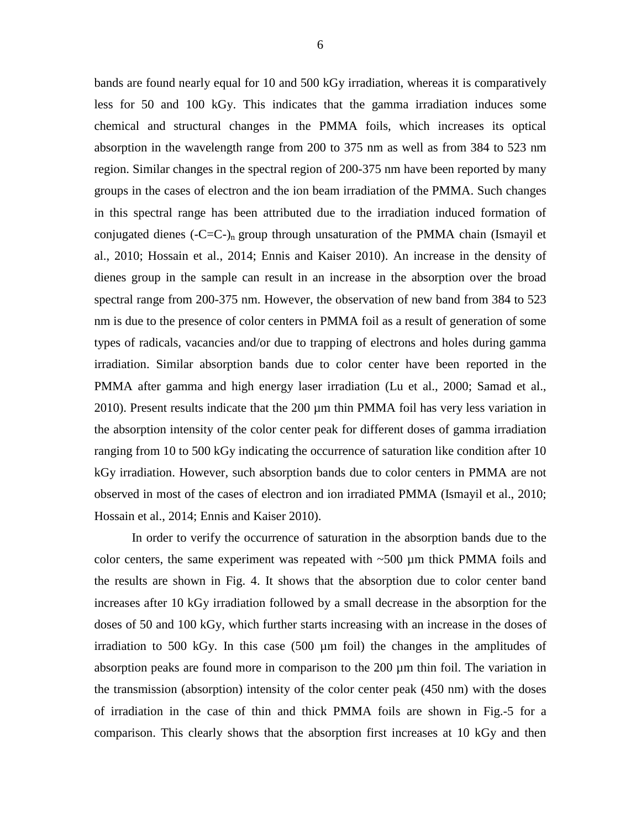bands are found nearly equal for 10 and 500 kGy irradiation, whereas it is comparatively less for 50 and 100 kGy. This indicates that the gamma irradiation induces some chemical and structural changes in the PMMA foils, which increases its optical absorption in the wavelength range from 200 to 375 nm as well as from 384 to 523 nm region. Similar changes in the spectral region of 200-375 nm have been reported by many groups in the cases of electron and the ion beam irradiation of the PMMA. Such changes in this spectral range has been attributed due to the irradiation induced formation of conjugated dienes  $(-C=C<sub>-</sub>)<sub>n</sub>$  group through unsaturation of the PMMA chain (Ismayil et al., 2010; Hossain et al., 2014; Ennis and Kaiser 2010). An increase in the density of dienes group in the sample can result in an increase in the absorption over the broad spectral range from 200-375 nm. However, the observation of new band from 384 to 523 nm is due to the presence of color centers in PMMA foil as a result of generation of some types of radicals, vacancies and/or due to trapping of electrons and holes during gamma irradiation. Similar absorption bands due to color center have been reported in the PMMA after gamma and high energy laser irradiation (Lu et al., 2000; Samad et al., 2010). Present results indicate that the 200 µm thin PMMA foil has very less variation in the absorption intensity of the color center peak for different doses of gamma irradiation ranging from 10 to 500 kGy indicating the occurrence of saturation like condition after 10 kGy irradiation. However, such absorption bands due to color centers in PMMA are not observed in most of the cases of electron and ion irradiated PMMA (Ismayil et al., 2010; Hossain et al., 2014; Ennis and Kaiser 2010).

In order to verify the occurrence of saturation in the absorption bands due to the color centers, the same experiment was repeated with  $\sim$ 500 µm thick PMMA foils and the results are shown in Fig. 4. It shows that the absorption due to color center band increases after 10 kGy irradiation followed by a small decrease in the absorption for the doses of 50 and 100 kGy, which further starts increasing with an increase in the doses of irradiation to 500 kGy. In this case (500 µm foil) the changes in the amplitudes of absorption peaks are found more in comparison to the 200 µm thin foil. The variation in the transmission (absorption) intensity of the color center peak (450 nm) with the doses of irradiation in the case of thin and thick PMMA foils are shown in Fig.-5 for a comparison. This clearly shows that the absorption first increases at 10 kGy and then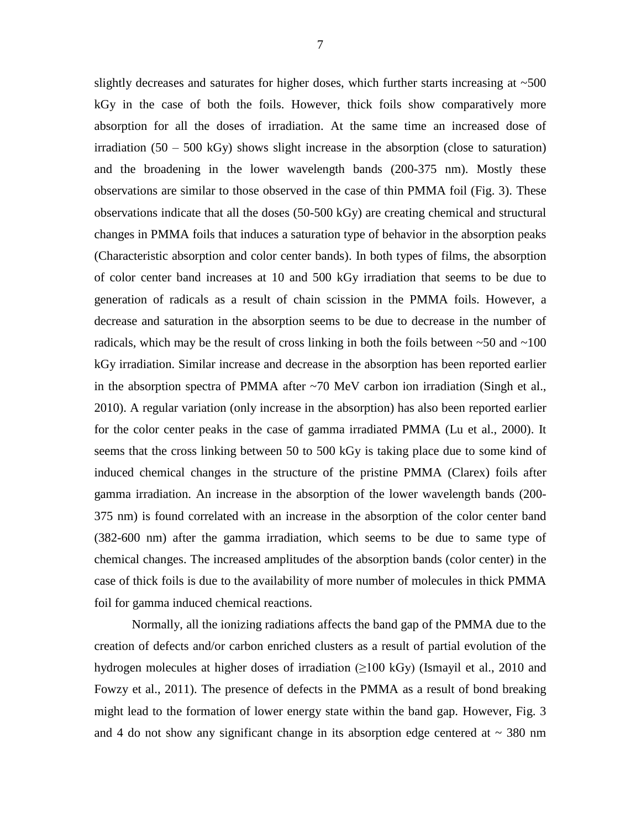slightly decreases and saturates for higher doses, which further starts increasing at  $\sim$ 500 kGy in the case of both the foils. However, thick foils show comparatively more absorption for all the doses of irradiation. At the same time an increased dose of irradiation  $(50 - 500 \text{ kGy})$  shows slight increase in the absorption (close to saturation) and the broadening in the lower wavelength bands (200-375 nm). Mostly these observations are similar to those observed in the case of thin PMMA foil (Fig. 3). These observations indicate that all the doses (50-500 kGy) are creating chemical and structural changes in PMMA foils that induces a saturation type of behavior in the absorption peaks (Characteristic absorption and color center bands). In both types of films, the absorption of color center band increases at 10 and 500 kGy irradiation that seems to be due to generation of radicals as a result of chain scission in the PMMA foils. However, a decrease and saturation in the absorption seems to be due to decrease in the number of radicals, which may be the result of cross linking in both the foils between  $\sim 50$  and  $\sim 100$ kGy irradiation. Similar increase and decrease in the absorption has been reported earlier in the absorption spectra of PMMA after ~70 MeV carbon ion irradiation (Singh et al., 2010). A regular variation (only increase in the absorption) has also been reported earlier for the color center peaks in the case of gamma irradiated PMMA (Lu et al., 2000). It seems that the cross linking between 50 to 500 kGy is taking place due to some kind of induced chemical changes in the structure of the pristine PMMA (Clarex) foils after gamma irradiation. An increase in the absorption of the lower wavelength bands (200- 375 nm) is found correlated with an increase in the absorption of the color center band (382-600 nm) after the gamma irradiation, which seems to be due to same type of chemical changes. The increased amplitudes of the absorption bands (color center) in the case of thick foils is due to the availability of more number of molecules in thick PMMA foil for gamma induced chemical reactions.

Normally, all the ionizing radiations affects the band gap of the PMMA due to the creation of defects and/or carbon enriched clusters as a result of partial evolution of the hydrogen molecules at higher doses of irradiation  $(\geq 100 \text{ kGy})$  (Ismayil et al., 2010 and Fowzy et al., 2011). The presence of defects in the PMMA as a result of bond breaking might lead to the formation of lower energy state within the band gap. However, Fig. 3 and 4 do not show any significant change in its absorption edge centered at  $\sim$  380 nm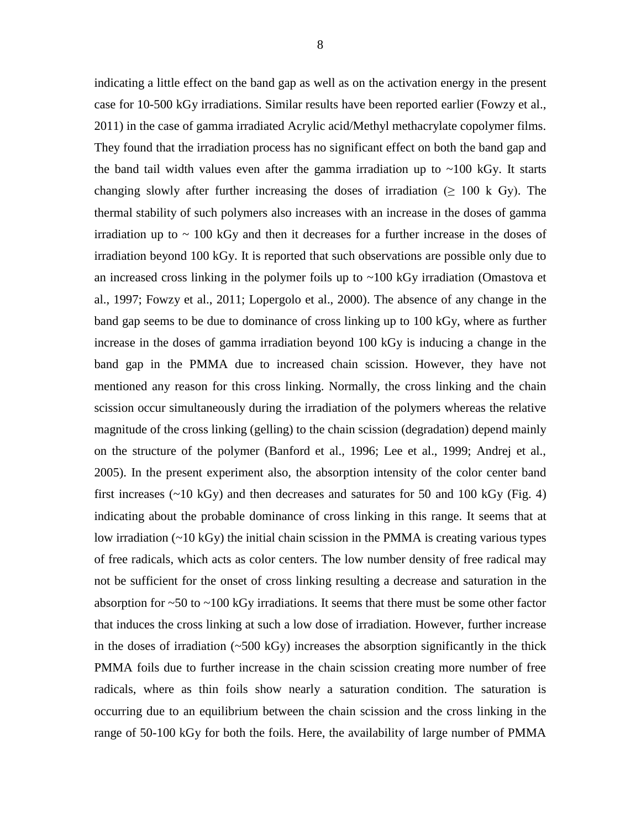indicating a little effect on the band gap as well as on the activation energy in the present case for 10-500 kGy irradiations. Similar results have been reported earlier (Fowzy et al., 2011) in the case of gamma irradiated Acrylic acid/Methyl methacrylate copolymer films. They found that the irradiation process has no significant effect on both the band gap and the band tail width values even after the gamma irradiation up to  $\sim$ 100 kGy. It starts changing slowly after further increasing the doses of irradiation ( $\geq 100 \text{ k Gy}$ ). The thermal stability of such polymers also increases with an increase in the doses of gamma irradiation up to  $\sim$  100 kGy and then it decreases for a further increase in the doses of irradiation beyond 100 kGy. It is reported that such observations are possible only due to an increased cross linking in the polymer foils up to ~100 kGy irradiation (Omastova et al., 1997; Fowzy et al., 2011; Lopergolo et al., 2000). The absence of any change in the band gap seems to be due to dominance of cross linking up to 100 kGy, where as further increase in the doses of gamma irradiation beyond 100 kGy is inducing a change in the band gap in the PMMA due to increased chain scission. However, they have not mentioned any reason for this cross linking. Normally, the cross linking and the chain scission occur simultaneously during the irradiation of the polymers whereas the relative magnitude of the cross linking (gelling) to the chain scission (degradation) depend mainly on the structure of the polymer (Banford et al., 1996; Lee et al., 1999; Andrej et al., 2005). In the present experiment also, the absorption intensity of the color center band first increases  $(\sim 10 \text{ kGy})$  and then decreases and saturates for 50 and 100 kGy (Fig. 4) indicating about the probable dominance of cross linking in this range. It seems that at low irradiation  $(\sim 10 \text{ kGy})$  the initial chain scission in the PMMA is creating various types of free radicals, which acts as color centers. The low number density of free radical may not be sufficient for the onset of cross linking resulting a decrease and saturation in the absorption for  $\sim$  50 to  $\sim$  100 kGy irradiations. It seems that there must be some other factor that induces the cross linking at such a low dose of irradiation. However, further increase in the doses of irradiation  $(-500 \text{ kGy})$  increases the absorption significantly in the thick PMMA foils due to further increase in the chain scission creating more number of free radicals, where as thin foils show nearly a saturation condition. The saturation is occurring due to an equilibrium between the chain scission and the cross linking in the range of 50-100 kGy for both the foils. Here, the availability of large number of PMMA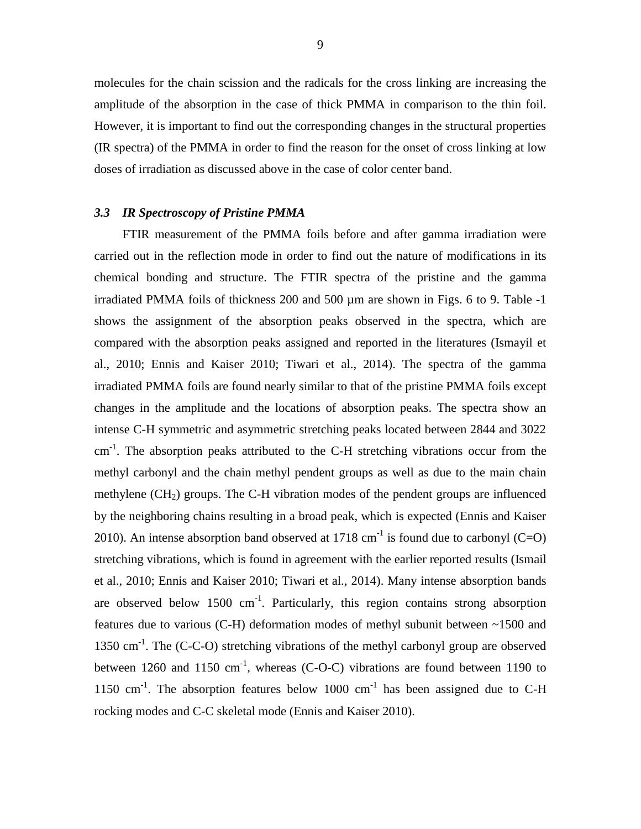molecules for the chain scission and the radicals for the cross linking are increasing the amplitude of the absorption in the case of thick PMMA in comparison to the thin foil. However, it is important to find out the corresponding changes in the structural properties (IR spectra) of the PMMA in order to find the reason for the onset of cross linking at low doses of irradiation as discussed above in the case of color center band.

# *3.3 IR Spectroscopy of Pristine PMMA*

FTIR measurement of the PMMA foils before and after gamma irradiation were carried out in the reflection mode in order to find out the nature of modifications in its chemical bonding and structure. The FTIR spectra of the pristine and the gamma irradiated PMMA foils of thickness 200 and 500 µm are shown in Figs. 6 to 9. Table -1 shows the assignment of the absorption peaks observed in the spectra, which are compared with the absorption peaks assigned and reported in the literatures (Ismayil et al., 2010; Ennis and Kaiser 2010; Tiwari et al., 2014). The spectra of the gamma irradiated PMMA foils are found nearly similar to that of the pristine PMMA foils except changes in the amplitude and the locations of absorption peaks. The spectra show an intense C-H symmetric and asymmetric stretching peaks located between 2844 and 3022  $cm<sup>-1</sup>$ . The absorption peaks attributed to the C-H stretching vibrations occur from the methyl carbonyl and the chain methyl pendent groups as well as due to the main chain methylene  $(CH<sub>2</sub>)$  groups. The C-H vibration modes of the pendent groups are influenced by the neighboring chains resulting in a broad peak, which is expected (Ennis and Kaiser 2010). An intense absorption band observed at 1718  $\text{cm}^{-1}$  is found due to carbonyl (C=O) stretching vibrations, which is found in agreement with the earlier reported results (Ismail et al., 2010; Ennis and Kaiser 2010; Tiwari et al., 2014). Many intense absorption bands are observed below  $1500 \text{ cm}^{-1}$ . Particularly, this region contains strong absorption features due to various (C-H) deformation modes of methyl subunit between ~1500 and 1350 cm<sup>-1</sup>. The (C-C-O) stretching vibrations of the methyl carbonyl group are observed between 1260 and 1150  $\text{cm}^{-1}$ , whereas (C-O-C) vibrations are found between 1190 to 1150  $\text{cm}^{-1}$ . The absorption features below 1000  $\text{cm}^{-1}$  has been assigned due to C-H rocking modes and C-C skeletal mode (Ennis and Kaiser 2010).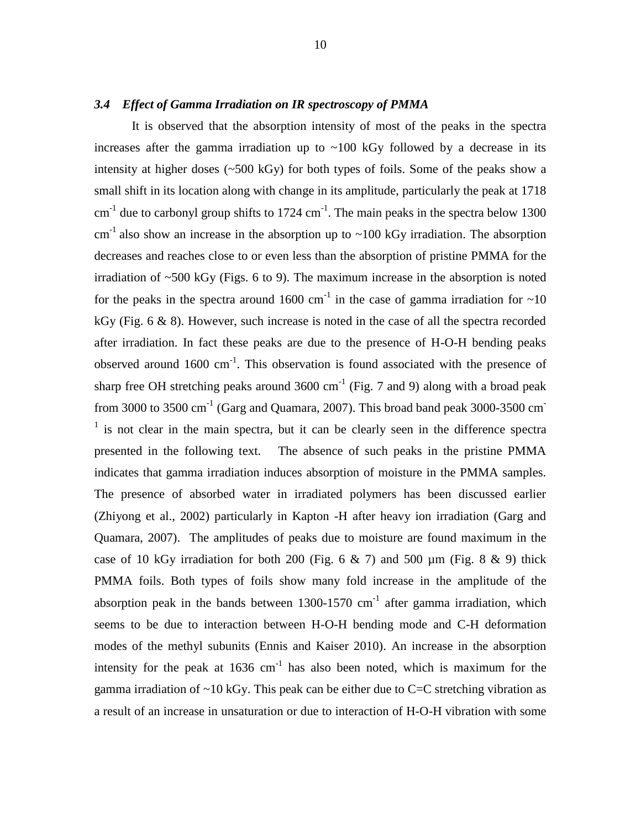# *3.4 Effect of Gamma Irradiation on IR spectroscopy of PMMA*

It is observed that the absorption intensity of most of the peaks in the spectra increases after the gamma irradiation up to  $\sim$ 100 kGy followed by a decrease in its intensity at higher doses (~500 kGy) for both types of foils. Some of the peaks show a small shift in its location along with change in its amplitude, particularly the peak at 1718  $\text{cm}^{-1}$  due to carbonyl group shifts to 1724  $\text{cm}^{-1}$ . The main peaks in the spectra below 1300  $\text{cm}^{-1}$  also show an increase in the absorption up to ~100 kGy irradiation. The absorption decreases and reaches close to or even less than the absorption of pristine PMMA for the irradiation of  $\sim$ 500 kGy (Figs. 6 to 9). The maximum increase in the absorption is noted for the peaks in the spectra around 1600 cm<sup>-1</sup> in the case of gamma irradiation for  $\sim$ 10 kGy (Fig. 6 & 8). However, such increase is noted in the case of all the spectra recorded after irradiation. In fact these peaks are due to the presence of H-O-H bending peaks observed around  $1600 \text{ cm}^{-1}$ . This observation is found associated with the presence of sharp free OH stretching peaks around  $3600 \text{ cm}^{-1}$  (Fig. 7 and 9) along with a broad peak from 3000 to 3500  $\text{cm}^{-1}$  (Garg and Quamara, 2007). This broad band peak 3000-3500  $\text{cm}^{-}$  $\frac{1}{1}$  is not clear in the main spectra, but it can be clearly seen in the difference spectra presented in the following text. The absence of such peaks in the pristine PMMA indicates that gamma irradiation induces absorption of moisture in the PMMA samples. The presence of absorbed water in irradiated polymers has been discussed earlier (Zhiyong et al., 2002) particularly in Kapton -H after heavy ion irradiation (Garg and Quamara, 2007). The amplitudes of peaks due to moisture are found maximum in the case of 10 kGy irradiation for both 200 (Fig. 6  $\&$  7) and 500 µm (Fig. 8  $\&$  9) thick PMMA foils. Both types of foils show many fold increase in the amplitude of the absorption peak in the bands between  $1300-1570$  cm<sup>-1</sup> after gamma irradiation, which seems to be due to interaction between H-O-H bending mode and C-H deformation modes of the methyl subunits (Ennis and Kaiser 2010). An increase in the absorption intensity for the peak at  $1636 \text{ cm}^{-1}$  has also been noted, which is maximum for the gamma irradiation of  $\sim$ 10 kGy. This peak can be either due to C=C stretching vibration as a result of an increase in unsaturation or due to interaction of H-O-H vibration with some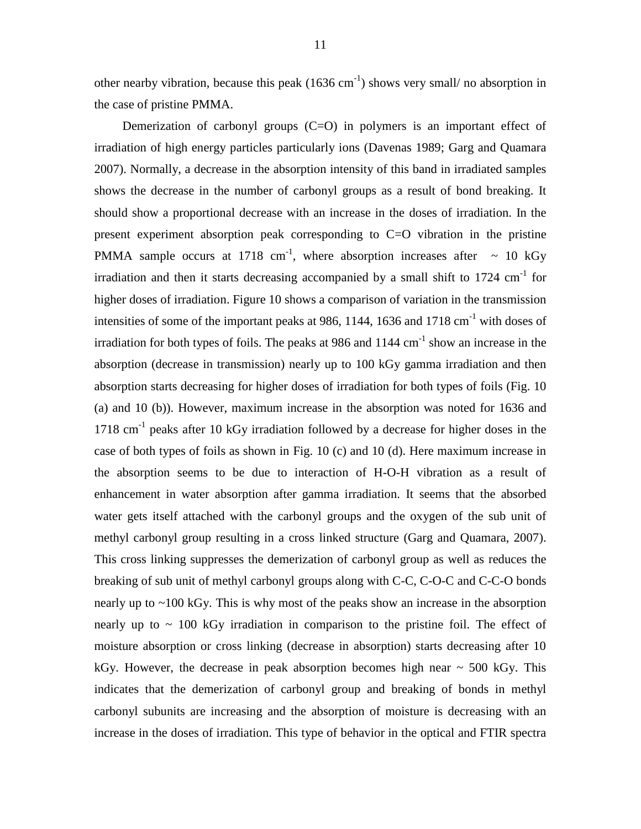other nearby vibration, because this peak  $(1636 \text{ cm}^{-1})$  shows very small/ no absorption in the case of pristine PMMA.

Demerization of carbonyl groups  $(C=O)$  in polymers is an important effect of irradiation of high energy particles particularly ions (Davenas 1989; Garg and Quamara 2007). Normally, a decrease in the absorption intensity of this band in irradiated samples shows the decrease in the number of carbonyl groups as a result of bond breaking. It should show a proportional decrease with an increase in the doses of irradiation. In the present experiment absorption peak corresponding to C=O vibration in the pristine PMMA sample occurs at 1718 cm<sup>-1</sup>, where absorption increases after  $\sim 10$  kGy irradiation and then it starts decreasing accompanied by a small shift to  $1724 \text{ cm}^{-1}$  for higher doses of irradiation. Figure 10 shows a comparison of variation in the transmission intensities of some of the important peaks at 986, 1144, 1636 and 1718  $cm^{-1}$  with doses of irradiation for both types of foils. The peaks at 986 and  $1144 \text{ cm}^{-1}$  show an increase in the absorption (decrease in transmission) nearly up to 100 kGy gamma irradiation and then absorption starts decreasing for higher doses of irradiation for both types of foils (Fig. 10 (a) and 10 (b)). However, maximum increase in the absorption was noted for 1636 and  $1718 \text{ cm}^{-1}$  peaks after 10 kGy irradiation followed by a decrease for higher doses in the case of both types of foils as shown in Fig. 10 (c) and 10 (d). Here maximum increase in the absorption seems to be due to interaction of H-O-H vibration as a result of enhancement in water absorption after gamma irradiation. It seems that the absorbed water gets itself attached with the carbonyl groups and the oxygen of the sub unit of methyl carbonyl group resulting in a cross linked structure (Garg and Quamara, 2007). This cross linking suppresses the demerization of carbonyl group as well as reduces the breaking of sub unit of methyl carbonyl groups along with C-C, C-O-C and C-C-O bonds nearly up to ~100 kGy. This is why most of the peaks show an increase in the absorption nearly up to  $\sim$  100 kGy irradiation in comparison to the pristine foil. The effect of moisture absorption or cross linking (decrease in absorption) starts decreasing after 10 kGy. However, the decrease in peak absorption becomes high near  $\sim$  500 kGy. This indicates that the demerization of carbonyl group and breaking of bonds in methyl carbonyl subunits are increasing and the absorption of moisture is decreasing with an increase in the doses of irradiation. This type of behavior in the optical and FTIR spectra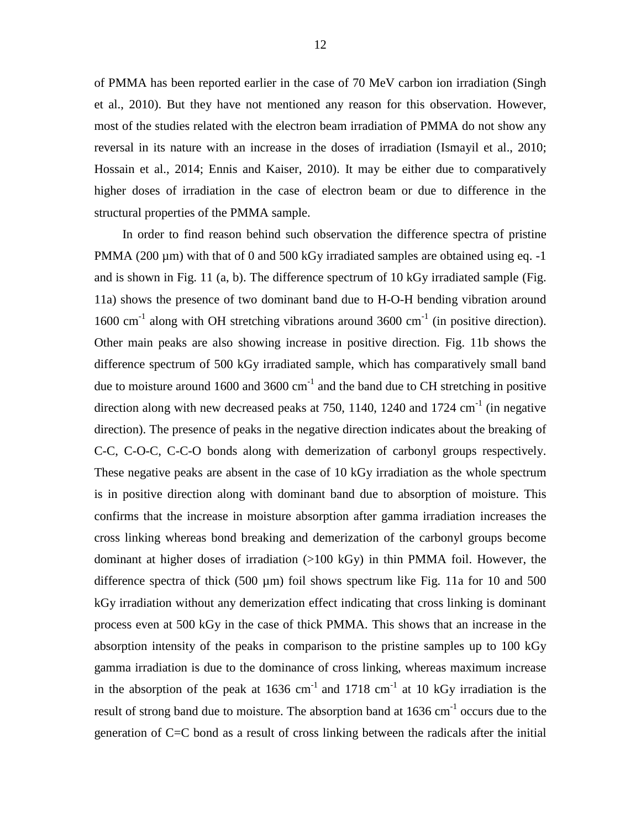of PMMA has been reported earlier in the case of 70 MeV carbon ion irradiation (Singh et al., 2010). But they have not mentioned any reason for this observation. However, most of the studies related with the electron beam irradiation of PMMA do not show any reversal in its nature with an increase in the doses of irradiation (Ismayil et al., 2010; Hossain et al., 2014; Ennis and Kaiser, 2010). It may be either due to comparatively higher doses of irradiation in the case of electron beam or due to difference in the structural properties of the PMMA sample.

In order to find reason behind such observation the difference spectra of pristine PMMA (200 µm) with that of 0 and 500 kGy irradiated samples are obtained using eq. -1 and is shown in Fig. 11 (a, b). The difference spectrum of 10 kGy irradiated sample (Fig. 11a) shows the presence of two dominant band due to H-O-H bending vibration around 1600 cm<sup>-1</sup> along with OH stretching vibrations around 3600 cm<sup>-1</sup> (in positive direction). Other main peaks are also showing increase in positive direction. Fig. 11b shows the difference spectrum of 500 kGy irradiated sample, which has comparatively small band due to moisture around 1600 and 3600  $cm^{-1}$  and the band due to CH stretching in positive direction along with new decreased peaks at 750, 1140, 1240 and 1724  $cm^{-1}$  (in negative direction). The presence of peaks in the negative direction indicates about the breaking of C-C, C-O-C, C-C-O bonds along with demerization of carbonyl groups respectively. These negative peaks are absent in the case of 10 kGy irradiation as the whole spectrum is in positive direction along with dominant band due to absorption of moisture. This confirms that the increase in moisture absorption after gamma irradiation increases the cross linking whereas bond breaking and demerization of the carbonyl groups become dominant at higher doses of irradiation (>100 kGy) in thin PMMA foil. However, the difference spectra of thick  $(500 \mu m)$  foil shows spectrum like Fig. 11a for 10 and 500 kGy irradiation without any demerization effect indicating that cross linking is dominant process even at 500 kGy in the case of thick PMMA. This shows that an increase in the absorption intensity of the peaks in comparison to the pristine samples up to 100 kGy gamma irradiation is due to the dominance of cross linking, whereas maximum increase in the absorption of the peak at  $1636 \text{ cm}^{-1}$  and  $1718 \text{ cm}^{-1}$  at 10 kGy irradiation is the result of strong band due to moisture. The absorption band at  $1636 \text{ cm}^{-1}$  occurs due to the generation of C=C bond as a result of cross linking between the radicals after the initial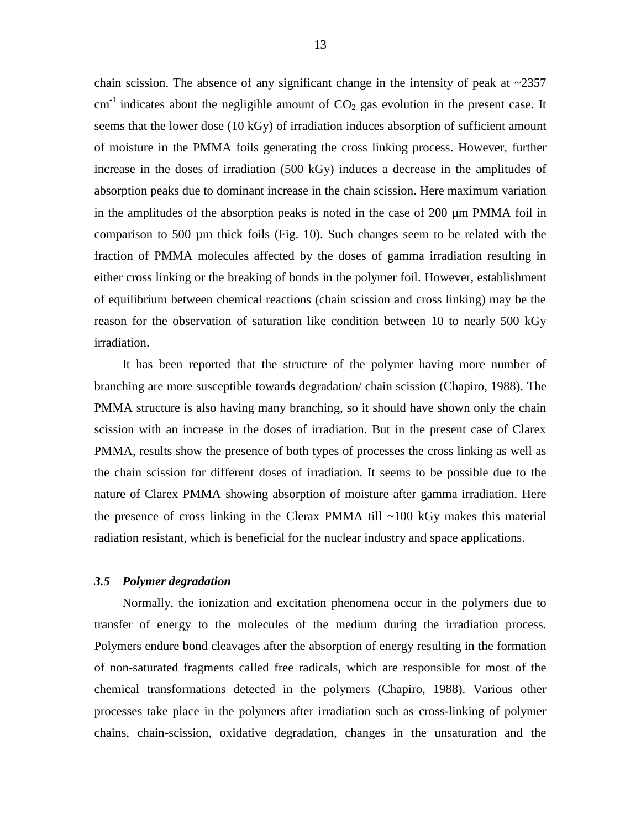chain scission. The absence of any significant change in the intensity of peak at  $\sim$ 2357 cm<sup>-1</sup> indicates about the negligible amount of  $CO<sub>2</sub>$  gas evolution in the present case. It seems that the lower dose (10 kGy) of irradiation induces absorption of sufficient amount of moisture in the PMMA foils generating the cross linking process. However, further increase in the doses of irradiation (500 kGy) induces a decrease in the amplitudes of absorption peaks due to dominant increase in the chain scission. Here maximum variation in the amplitudes of the absorption peaks is noted in the case of 200 µm PMMA foil in comparison to 500 µm thick foils (Fig. 10). Such changes seem to be related with the fraction of PMMA molecules affected by the doses of gamma irradiation resulting in either cross linking or the breaking of bonds in the polymer foil. However, establishment of equilibrium between chemical reactions (chain scission and cross linking) may be the reason for the observation of saturation like condition between 10 to nearly 500 kGy irradiation.

It has been reported that the structure of the polymer having more number of branching are more susceptible towards degradation/ chain scission (Chapiro, 1988). The PMMA structure is also having many branching, so it should have shown only the chain scission with an increase in the doses of irradiation. But in the present case of Clarex PMMA, results show the presence of both types of processes the cross linking as well as the chain scission for different doses of irradiation. It seems to be possible due to the nature of Clarex PMMA showing absorption of moisture after gamma irradiation. Here the presence of cross linking in the Clerax PMMA till  $\sim$ 100 kGy makes this material radiation resistant, which is beneficial for the nuclear industry and space applications.

# *3.5 Polymer degradation*

Normally, the ionization and excitation phenomena occur in the polymers due to transfer of energy to the molecules of the medium during the irradiation process. Polymers endure bond cleavages after the absorption of energy resulting in the formation of non-saturated fragments called free radicals, which are responsible for most of the chemical transformations detected in the polymers (Chapiro, 1988). Various other processes take place in the polymers after irradiation such as cross-linking of polymer chains, chain-scission, oxidative degradation, changes in the unsaturation and the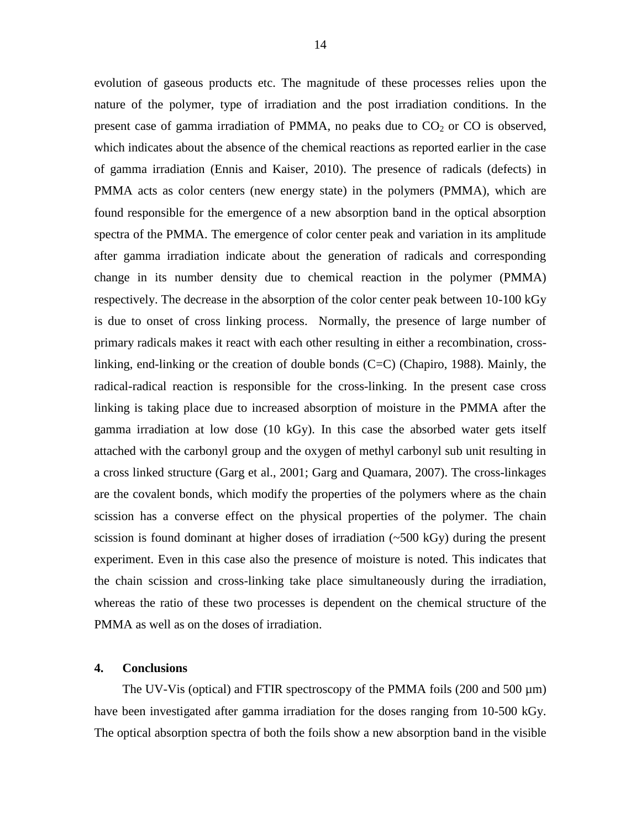evolution of gaseous products etc. The magnitude of these processes relies upon the nature of the polymer, type of irradiation and the post irradiation conditions. In the present case of gamma irradiation of PMMA, no peaks due to  $CO<sub>2</sub>$  or CO is observed, which indicates about the absence of the chemical reactions as reported earlier in the case of gamma irradiation (Ennis and Kaiser, 2010). The presence of radicals (defects) in PMMA acts as color centers (new energy state) in the polymers (PMMA), which are found responsible for the emergence of a new absorption band in the optical absorption spectra of the PMMA. The emergence of color center peak and variation in its amplitude after gamma irradiation indicate about the generation of radicals and corresponding change in its number density due to chemical reaction in the polymer (PMMA) respectively. The decrease in the absorption of the color center peak between 10-100 kGy is due to onset of cross linking process. Normally, the presence of large number of primary radicals makes it react with each other resulting in either a recombination, crosslinking, end-linking or the creation of double bonds (C=C) (Chapiro, 1988). Mainly, the radical-radical reaction is responsible for the cross-linking. In the present case cross linking is taking place due to increased absorption of moisture in the PMMA after the gamma irradiation at low dose (10 kGy). In this case the absorbed water gets itself attached with the carbonyl group and the oxygen of methyl carbonyl sub unit resulting in a cross linked structure (Garg et al., 2001; Garg and Quamara, 2007). The cross-linkages are the covalent bonds, which modify the properties of the polymers where as the chain scission has a converse effect on the physical properties of the polymer. The chain scission is found dominant at higher doses of irradiation  $(\sim 500 \text{ kGy})$  during the present experiment. Even in this case also the presence of moisture is noted. This indicates that the chain scission and cross-linking take place simultaneously during the irradiation, whereas the ratio of these two processes is dependent on the chemical structure of the PMMA as well as on the doses of irradiation.

# **4. Conclusions**

The UV-Vis (optical) and FTIR spectroscopy of the PMMA foils (200 and 500  $\mu$ m) have been investigated after gamma irradiation for the doses ranging from 10-500 kGy. The optical absorption spectra of both the foils show a new absorption band in the visible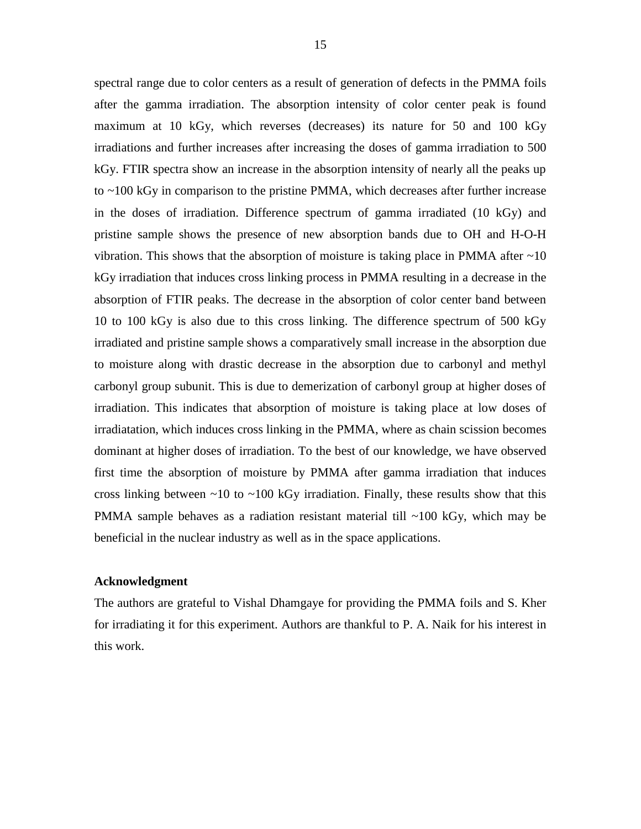spectral range due to color centers as a result of generation of defects in the PMMA foils after the gamma irradiation. The absorption intensity of color center peak is found maximum at 10 kGy, which reverses (decreases) its nature for 50 and 100 kGy irradiations and further increases after increasing the doses of gamma irradiation to 500 kGy. FTIR spectra show an increase in the absorption intensity of nearly all the peaks up to ~100 kGy in comparison to the pristine PMMA, which decreases after further increase in the doses of irradiation. Difference spectrum of gamma irradiated (10 kGy) and pristine sample shows the presence of new absorption bands due to OH and H-O-H vibration. This shows that the absorption of moisture is taking place in PMMA after  $\sim 10$ kGy irradiation that induces cross linking process in PMMA resulting in a decrease in the absorption of FTIR peaks. The decrease in the absorption of color center band between 10 to 100 kGy is also due to this cross linking. The difference spectrum of 500 kGy irradiated and pristine sample shows a comparatively small increase in the absorption due to moisture along with drastic decrease in the absorption due to carbonyl and methyl carbonyl group subunit. This is due to demerization of carbonyl group at higher doses of irradiation. This indicates that absorption of moisture is taking place at low doses of irradiatation, which induces cross linking in the PMMA, where as chain scission becomes dominant at higher doses of irradiation. To the best of our knowledge, we have observed first time the absorption of moisture by PMMA after gamma irradiation that induces cross linking between  $\sim$ 10 to  $\sim$ 100 kGy irradiation. Finally, these results show that this PMMA sample behaves as a radiation resistant material till  $\sim$ 100 kGy, which may be beneficial in the nuclear industry as well as in the space applications.

# **Acknowledgment**

The authors are grateful to Vishal Dhamgaye for providing the PMMA foils and S. Kher for irradiating it for this experiment. Authors are thankful to P. A. Naik for his interest in this work.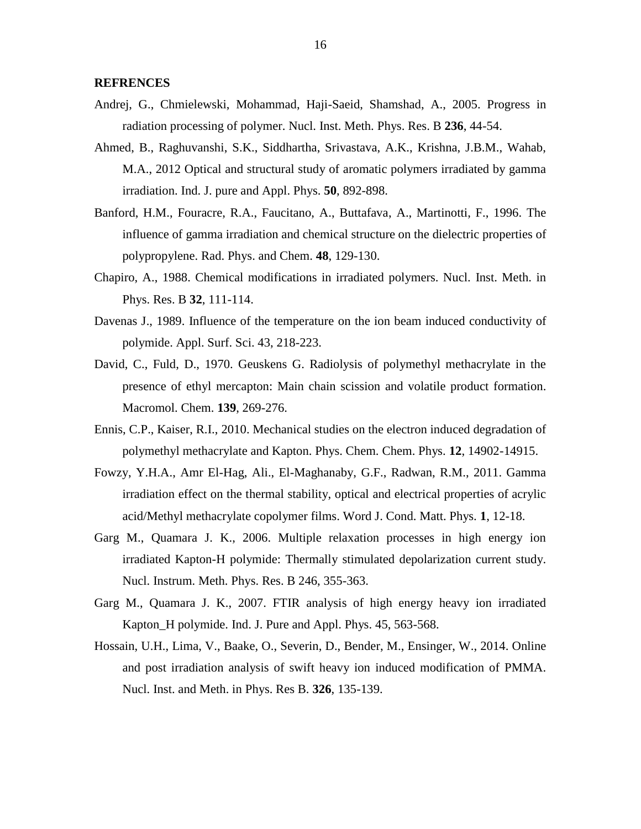#### **REFRENCES**

- Andrej, G., Chmielewski, Mohammad, Haji-Saeid, Shamshad, A., 2005. Progress in radiation processing of polymer. Nucl. Inst. Meth. Phys. Res. B **236**, 44-54.
- Ahmed, B., Raghuvanshi, S.K., Siddhartha, Srivastava, A.K., Krishna, J.B.M., Wahab, M.A., 2012 Optical and structural study of aromatic polymers irradiated by gamma irradiation. Ind. J. pure and Appl. Phys. **50**, 892-898.
- Banford, H.M., Fouracre, R.A., Faucitano, A., Buttafava, A., Martinotti, F., 1996. The influence of gamma irradiation and chemical structure on the dielectric properties of polypropylene. Rad. Phys. and Chem. **48**, 129-130.
- Chapiro, A., 1988. Chemical modifications in irradiated polymers. Nucl. Inst. Meth. in Phys. Res. B **32**, 111-114.
- Davenas J., 1989. Influence of the temperature on the ion beam induced conductivity of polymide. Appl. Surf. Sci. 43, 218-223.
- David, C., Fuld, D., 1970. Geuskens G. Radiolysis of polymethyl methacrylate in the presence of ethyl mercapton: Main chain scission and volatile product formation. Macromol. Chem. **139**, 269-276.
- Ennis, C.P., Kaiser, R.I., 2010. Mechanical studies on the electron induced degradation of polymethyl methacrylate and Kapton. Phys. Chem. Chem. Phys. **12**, 14902-14915.
- Fowzy, Y.H.A., Amr El-Hag, Ali., El-Maghanaby, G.F., Radwan, R.M., 2011. Gamma irradiation effect on the thermal stability, optical and electrical properties of acrylic acid/Methyl methacrylate copolymer films. Word J. Cond. Matt. Phys. **1**, 12-18.
- Garg M., Quamara J. K., 2006. Multiple relaxation processes in high energy ion irradiated Kapton-H polymide: Thermally stimulated depolarization current study. Nucl. Instrum. Meth. Phys. Res. B 246, 355-363.
- Garg M., Quamara J. K., 2007. FTIR analysis of high energy heavy ion irradiated Kapton\_H polymide. Ind. J. Pure and Appl. Phys. 45, 563-568.
- Hossain, U.H., Lima, V., Baake, O., Severin, D., Bender, M., Ensinger, W., 2014. Online and post irradiation analysis of swift heavy ion induced modification of PMMA. Nucl. Inst. and Meth. in Phys. Res B. **326**, 135-139.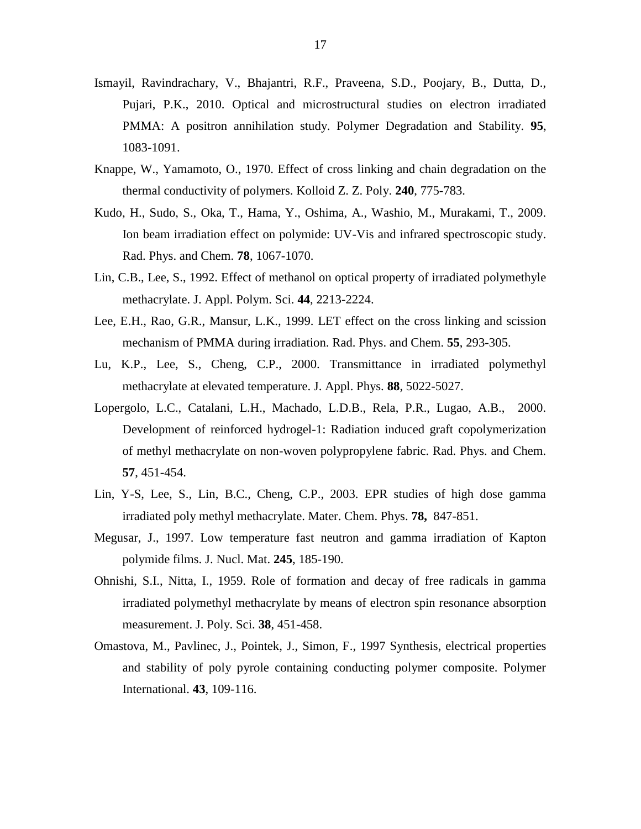- Ismayil, Ravindrachary, V., Bhajantri, R.F., Praveena, S.D., Poojary, B., Dutta, D., Pujari, P.K., 2010. Optical and microstructural studies on electron irradiated PMMA: A positron annihilation study. Polymer Degradation and Stability. **95**, 1083-1091.
- Knappe, W., Yamamoto, O., 1970. Effect of cross linking and chain degradation on the thermal conductivity of polymers. Kolloid Z. Z. Poly. **240**, 775-783.
- Kudo, H., Sudo, S., Oka, T., Hama, Y., Oshima, A., Washio, M., Murakami, T., 2009. Ion beam irradiation effect on polymide: UV-Vis and infrared spectroscopic study. Rad. Phys. and Chem. **78**, 1067-1070.
- Lin, C.B., Lee, S., 1992. Effect of methanol on optical property of irradiated polymethyle methacrylate. J. Appl. Polym. Sci. **44**, 2213-2224.
- Lee, E.H., Rao, G.R., Mansur, L.K., 1999. LET effect on the cross linking and scission mechanism of PMMA during irradiation. Rad. Phys. and Chem. **55**, 293-305.
- Lu, K.P., Lee, S., Cheng, C.P., 2000. Transmittance in irradiated polymethyl methacrylate at elevated temperature. J. Appl. Phys. **88**, 5022-5027.
- Lopergolo, L.C., Catalani, L.H., Machado, L.D.B., Rela, P.R., Lugao, A.B., 2000. Development of reinforced hydrogel-1: Radiation induced graft copolymerization of methyl methacrylate on non-woven polypropylene fabric. Rad. Phys. and Chem. **57**, 451-454.
- Lin, Y-S, Lee, S., Lin, B.C., Cheng, C.P., 2003. EPR studies of high dose gamma irradiated poly methyl methacrylate. Mater. Chem. Phys. **78,** 847-851.
- Megusar, J., 1997. Low temperature fast neutron and gamma irradiation of Kapton polymide films. J. Nucl. Mat. **245**, 185-190.
- Ohnishi, S.I., Nitta, I., 1959. Role of formation and decay of free radicals in gamma irradiated polymethyl methacrylate by means of electron spin resonance absorption measurement. J. Poly. Sci. **38**, 451-458.
- Omastova, M., Pavlinec, J., Pointek, J., Simon, F., 1997 Synthesis, electrical properties and stability of poly pyrole containing conducting polymer composite. Polymer International. **43**, 109-116.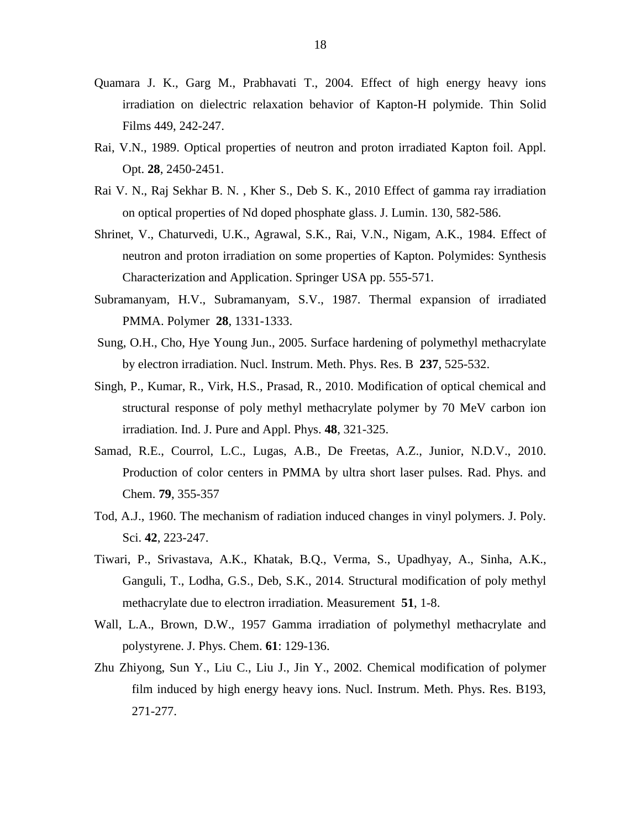- Quamara J. K., Garg M., Prabhavati T., 2004. Effect of high energy heavy ions irradiation on dielectric relaxation behavior of Kapton-H polymide. Thin Solid Films 449, 242-247.
- Rai, V.N., 1989. Optical properties of neutron and proton irradiated Kapton foil. Appl. Opt. **28**, 2450-2451.
- Rai V. N., Raj Sekhar B. N. , Kher S., Deb S. K., 2010 Effect of gamma ray irradiation on optical properties of Nd doped phosphate glass. J. Lumin. 130, 582-586.
- Shrinet, V., Chaturvedi, U.K., Agrawal, S.K., Rai, V.N., Nigam, A.K., 1984. Effect of neutron and proton irradiation on some properties of Kapton. Polymides: Synthesis Characterization and Application. Springer USA pp. 555-571.
- Subramanyam, H.V., Subramanyam, S.V., 1987. Thermal expansion of irradiated PMMA. Polymer **28**, 1331-1333.
- Sung, O.H., Cho, Hye Young Jun., 2005. Surface hardening of polymethyl methacrylate by electron irradiation. Nucl. Instrum. Meth. Phys. Res. B **237**, 525-532.
- Singh, P., Kumar, R., Virk, H.S., Prasad, R., 2010. Modification of optical chemical and structural response of poly methyl methacrylate polymer by 70 MeV carbon ion irradiation. Ind. J. Pure and Appl. Phys. **48**, 321-325.
- Samad, R.E., Courrol, L.C., Lugas, A.B., De Freetas, A.Z., Junior, N.D.V., 2010. Production of color centers in PMMA by ultra short laser pulses. Rad. Phys. and Chem. **79**, 355-357
- Tod, A.J., 1960. The mechanism of radiation induced changes in vinyl polymers. J. Poly. Sci. **42**, 223-247.
- Tiwari, P., Srivastava, A.K., Khatak, B.Q., Verma, S., Upadhyay, A., Sinha, A.K., Ganguli, T., Lodha, G.S., Deb, S.K., 2014. Structural modification of poly methyl methacrylate due to electron irradiation. Measurement **51**, 1-8.
- Wall, L.A., Brown, D.W., 1957 Gamma irradiation of polymethyl methacrylate and polystyrene. J. Phys. Chem. **61**: 129-136.
- Zhu Zhiyong, Sun Y., Liu C., Liu J., Jin Y., 2002. Chemical modification of polymer film induced by high energy heavy ions. Nucl. Instrum. Meth. Phys. Res. B193, 271-277.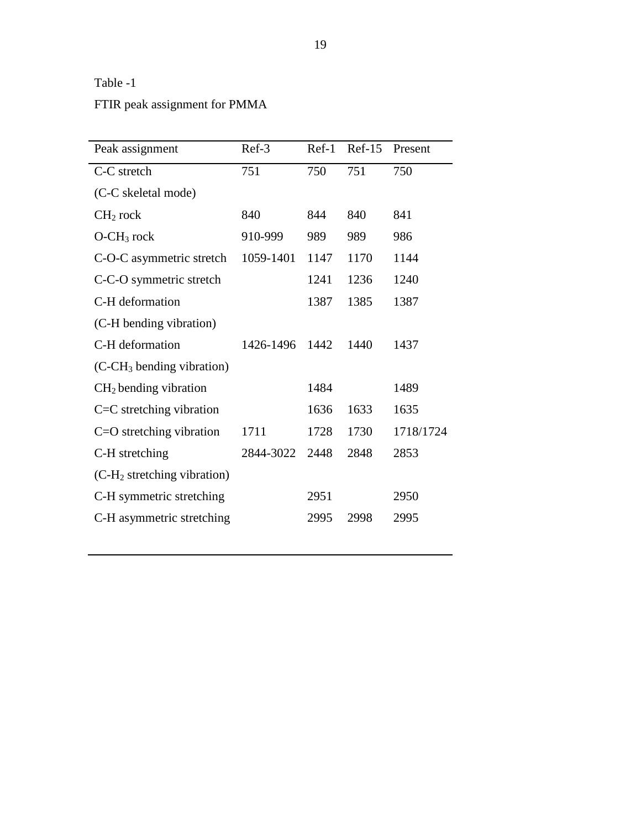# Table -1

FTIR peak assignment for PMMA

| Peak assignment                         | Ref-3     | $Ref-1$ | $Ref-15$ | Present   |
|-----------------------------------------|-----------|---------|----------|-----------|
| C-C stretch                             | 751       | 750     | 751      | 750       |
| (C-C skeletal mode)                     |           |         |          |           |
| $CH2$ rock                              | 840       | 844     | 840      | 841       |
| $O-CH_3$ rock                           | 910-999   | 989     | 989      | 986       |
| C-O-C asymmetric stretch                | 1059-1401 | 1147    | 1170     | 1144      |
| C-C-O symmetric stretch                 |           | 1241    | 1236     | 1240      |
| C-H deformation                         |           | 1387    | 1385     | 1387      |
| (C-H bending vibration)                 |           |         |          |           |
| C-H deformation                         | 1426-1496 | 1442    | 1440     | 1437      |
| $(C-CH3 bending vibration)$             |           |         |          |           |
| $CH2$ bending vibration                 |           | 1484    |          | 1489      |
| $C=C$ stretching vibration              |           | 1636    | 1633     | 1635      |
| $C = O$ stretching vibration            | 1711      | 1728    | 1730     | 1718/1724 |
| C-H stretching                          | 2844-3022 | 2448    | 2848     | 2853      |
| (C-H <sub>2</sub> stretching vibration) |           |         |          |           |
| C-H symmetric stretching                |           | 2951    |          | 2950      |
| C-H asymmetric stretching               |           | 2995    | 2998     | 2995      |
|                                         |           |         |          |           |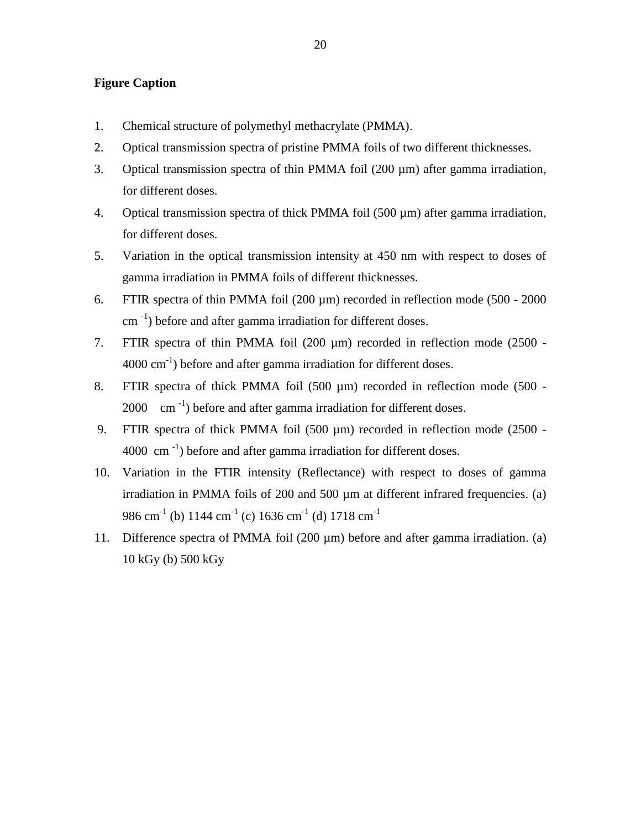# **Figure Caption**

- 1. Chemical structure of polymethyl methacrylate (PMMA).
- 2. Optical transmission spectra of pristine PMMA foils of two different thicknesses.
- 3. Optical transmission spectra of thin PMMA foil (200 µm) after gamma irradiation, for different doses.
- 4. Optical transmission spectra of thick PMMA foil (500 µm) after gamma irradiation, for different doses.
- 5. Variation in the optical transmission intensity at 450 nm with respect to doses of gamma irradiation in PMMA foils of different thicknesses.
- 6. FTIR spectra of thin PMMA foil  $(200 \,\mu m)$  recorded in reflection mode  $(500 2000$  $\text{cm}^{-1}$ ) before and after gamma irradiation for different doses.
- 7. FTIR spectra of thin PMMA foil (200 µm) recorded in reflection mode (2500  $4000 \text{ cm}^{-1}$ ) before and after gamma irradiation for different doses.
- 8. FTIR spectra of thick PMMA foil (500 µm) recorded in reflection mode (500 - $2000 \, \text{cm}^{-1}$ ) before and after gamma irradiation for different doses.
- 9. FTIR spectra of thick PMMA foil (500 µm) recorded in reflection mode (2500 -4000 cm $^{-1}$ ) before and after gamma irradiation for different doses.
- 10. Variation in the FTIR intensity (Reflectance) with respect to doses of gamma irradiation in PMMA foils of 200 and 500 µm at different infrared frequencies. (a) 986 cm<sup>-1</sup> (b) 1144 cm<sup>-1</sup> (c) 1636 cm<sup>-1</sup> (d) 1718 cm<sup>-1</sup>
- 11. Difference spectra of PMMA foil (200 µm) before and after gamma irradiation. (a) 10 kGy (b) 500 kGy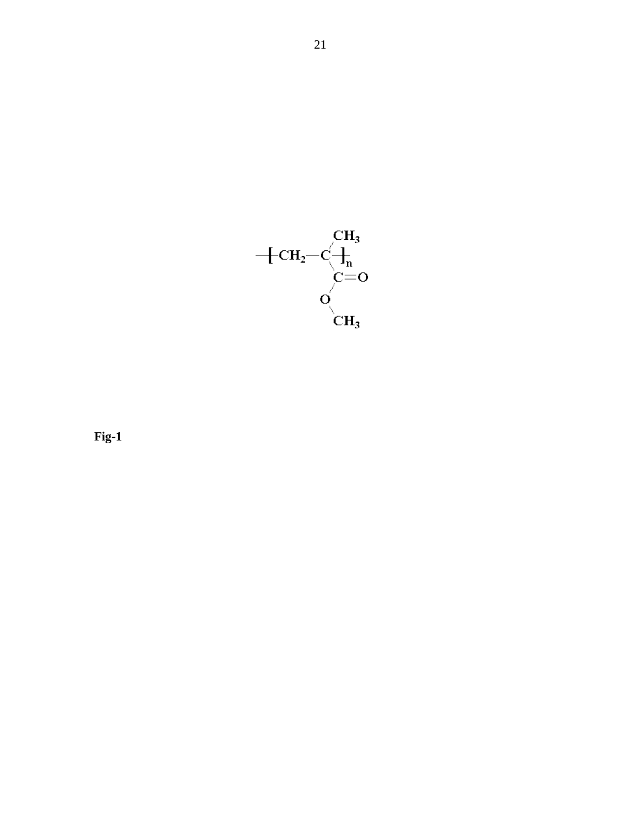

**Fig-1**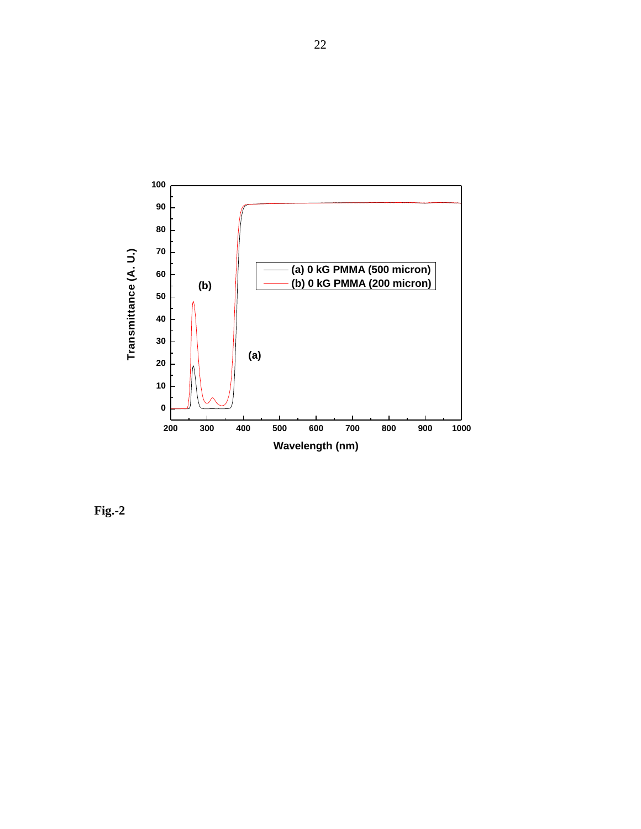

**Fig.-2**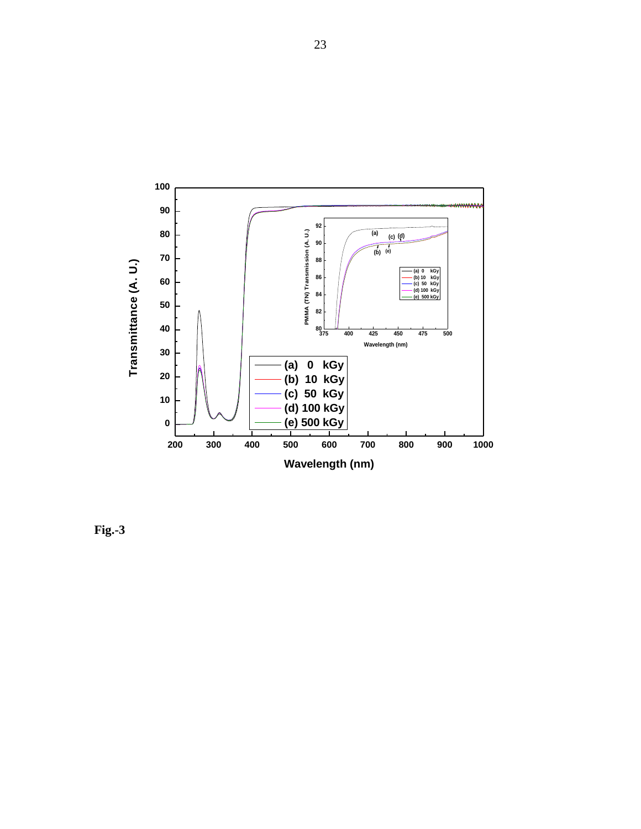

**Fig.-3**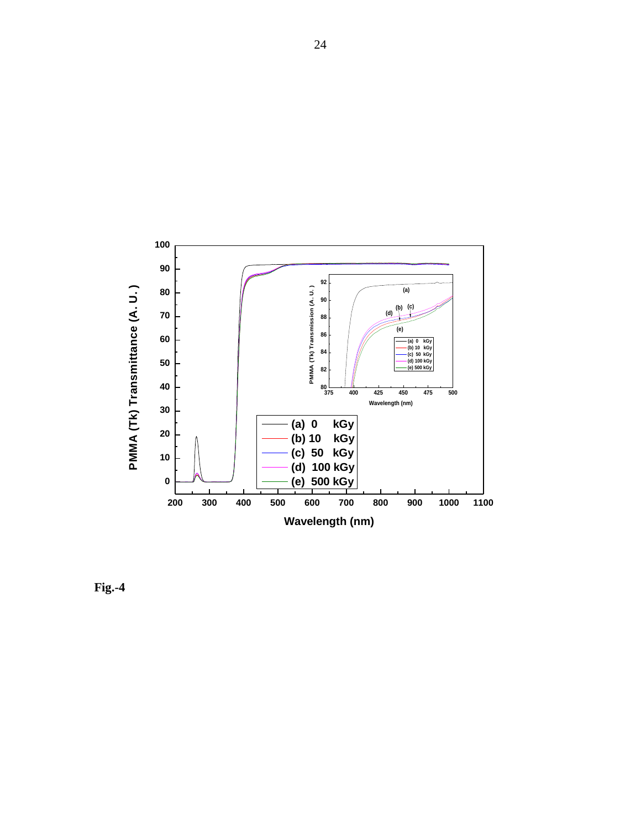

**Fig.-4**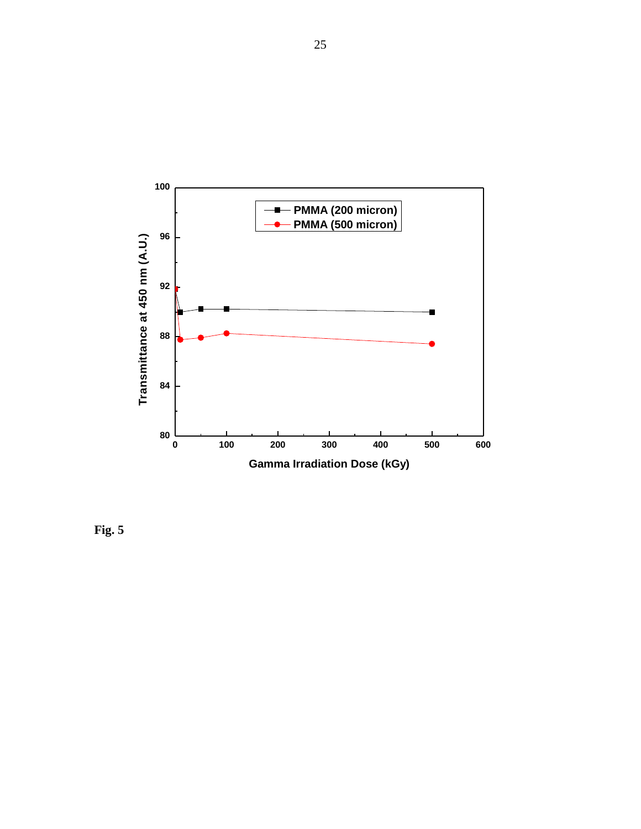

**Fig. 5**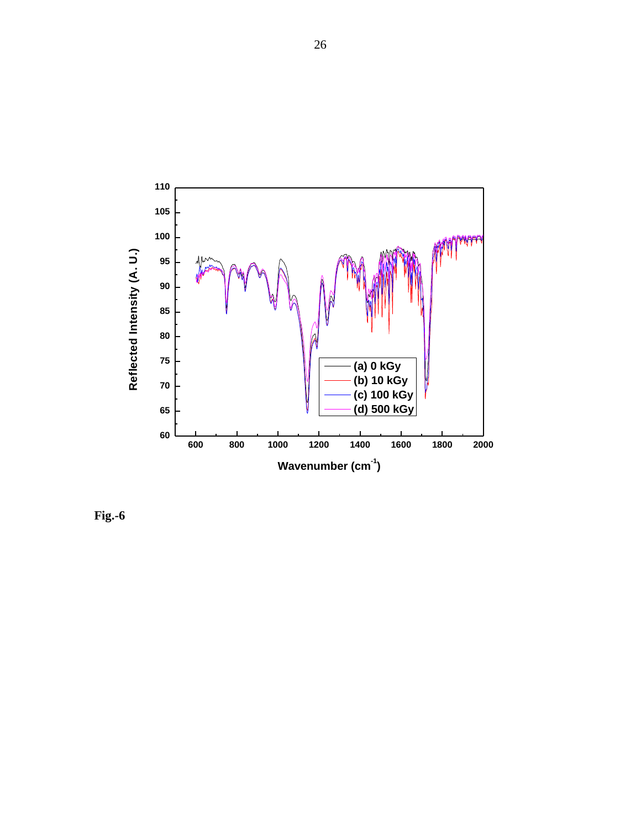

**Fig.-6**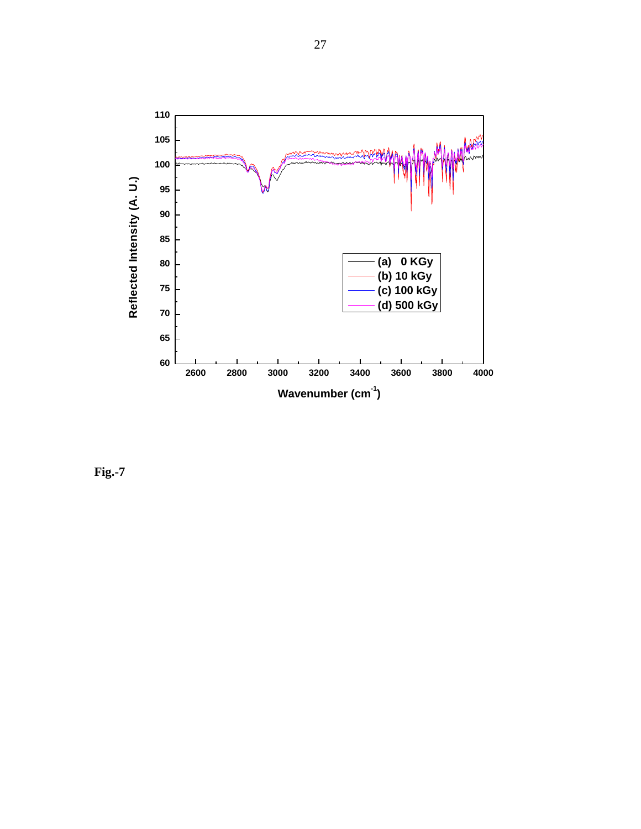

**Fig.-7**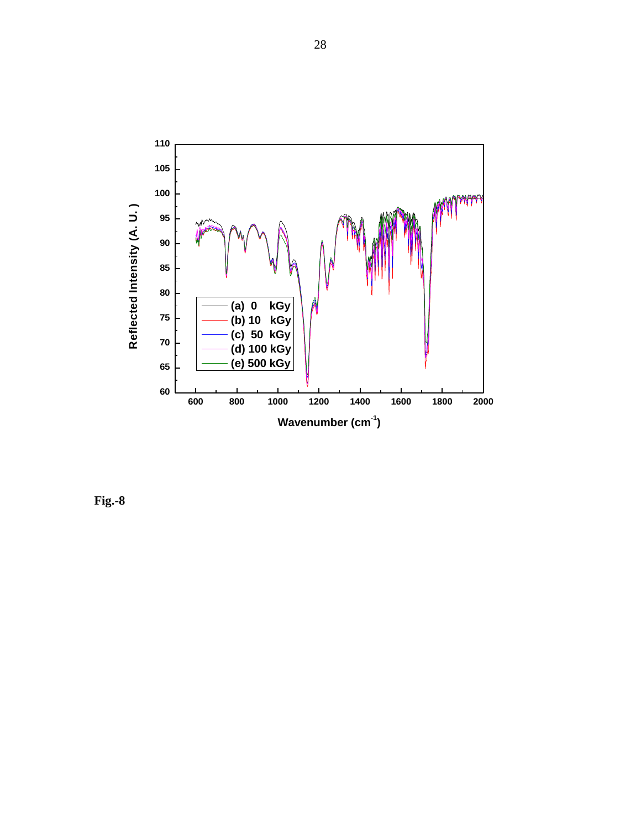

**Fig.-8**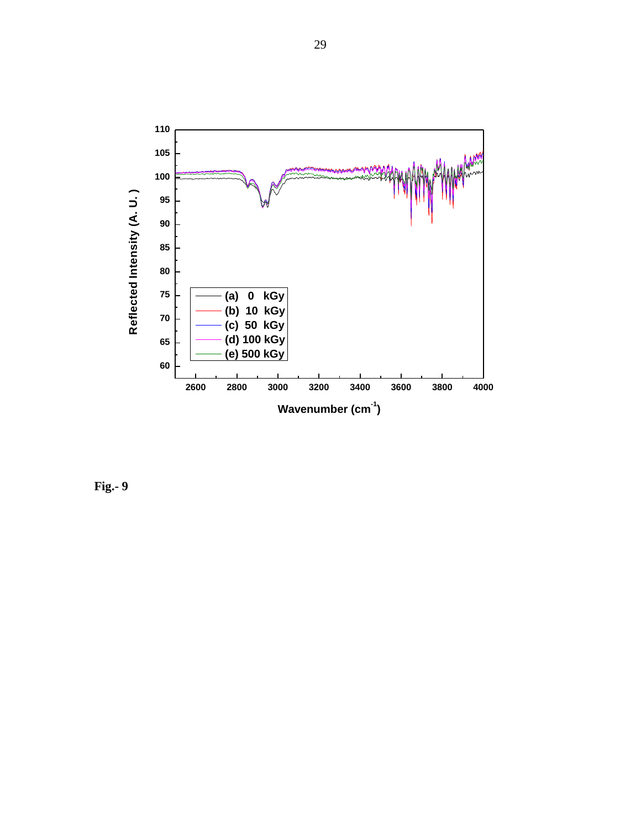

**Fig.- 9**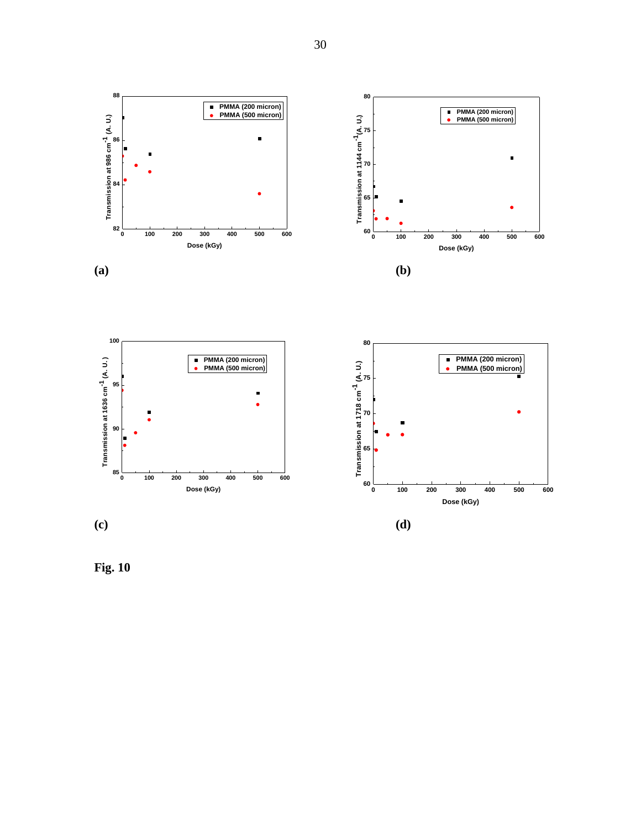

**Fig. 10**